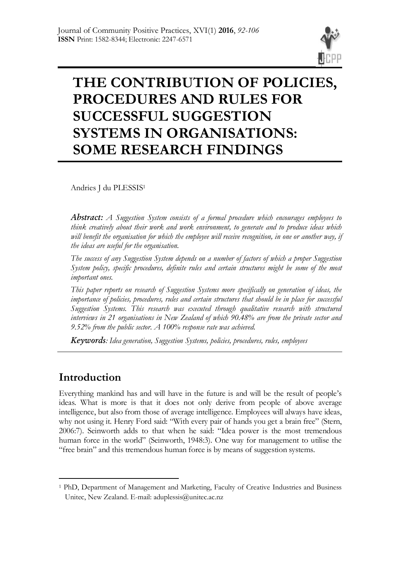

# **THE CONTRIBUTION OF POLICIES, PROCEDURES AND RULES FOR SUCCESSFUL SUGGESTION SYSTEMS IN ORGANISATIONS: SOME RESEARCH FINDINGS**

Andries J du PLESSIS<sup>1</sup>

*Abstract: A Suggestion System consists of a formal procedure which encourages employees to think creatively about their work and work environment, to generate and to produce ideas which will benefit the organisation for which the employee will receive recognition, in one or another way, if the ideas are useful for the organisation.* 

*The success of any Suggestion System depends on a number of factors of which a proper Suggestion System policy, specific procedures, definite rules and certain structures might be some of the most important ones.* 

*This paper reports on research of Suggestion Systems more specifically on generation of ideas, the importance of policies, procedures, rules and certain structures that should be in place for successful Suggestion Systems. This research was executed through qualitative research with structured interviews in 21 organisations in New Zealand of which 90.48% are from the private sector and 9.52% from the public sector. A 100% response rate was achieved.*

*Keywords: Idea generation, Suggestion Systems, policies, procedures, rules, employees*

# **Introduction**

-

Everything mankind has and will have in the future is and will be the result of people"s ideas. What is more is that it does not only derive from people of above average intelligence, but also from those of average intelligence. Employees will always have ideas, why not using it. Henry Ford said: "With every pair of hands you get a brain free" (Stern, 2006:7). Seinworth adds to that when he said: "Idea power is the most tremendous human force in the world" (Seinworth, 1948:3). One way for management to utilise the "free brain" and this tremendous human force is by means of suggestion systems.

<sup>1</sup> PhD, Department of Management and Marketing, Faculty of Creative Industries and Business Unitec, New Zealand. E-mail: aduplessis@unitec.ac.nz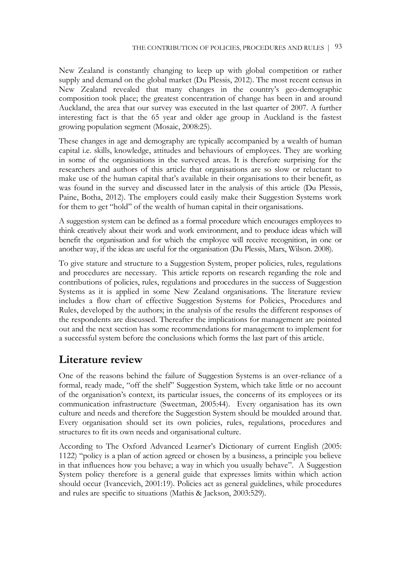New Zealand is constantly changing to keep up with global competition or rather supply and demand on the global market (Du Plessis, 2012). The most recent census in New Zealand revealed that many changes in the country's geo-demographic composition took place; the greatest concentration of change has been in and around Auckland, the area that our survey was executed in the last quarter of 2007. A further interesting fact is that the 65 year and older age group in Auckland is the fastest growing population segment (Mosaic, 2008:25).

These changes in age and demography are typically accompanied by a wealth of human capital i.e. skills, knowledge, attitudes and behaviours of employees. They are working in some of the organisations in the surveyed areas. It is therefore surprising for the researchers and authors of this article that organisations are so slow or reluctant to make use of the human capital that's available in their organisations to their benefit, as was found in the survey and discussed later in the analysis of this article (Du Plessis, Paine, Botha, 2012). The employers could easily make their Suggestion Systems work for them to get "hold" of the wealth of human capital in their organisations.

A suggestion system can be defined as a formal procedure which encourages employees to think creatively about their work and work environment, and to produce ideas which will benefit the organisation and for which the employee will receive recognition, in one or another way, if the ideas are useful for the organisation (Du Plessis, Marx, Wilson. 2008).

To give stature and structure to a Suggestion System, proper policies, rules, regulations and procedures are necessary. This article reports on research regarding the role and contributions of policies, rules, regulations and procedures in the success of Suggestion Systems as it is applied in some New Zealand organisations. The literature review includes a flow chart of effective Suggestion Systems for Policies, Procedures and Rules, developed by the authors; in the analysis of the results the different responses of the respondents are discussed. Thereafter the implications for management are pointed out and the next section has some recommendations for management to implement for a successful system before the conclusions which forms the last part of this article.

# **Literature review**

One of the reasons behind the failure of Suggestion Systems is an over-reliance of a formal, ready made, "off the shelf" Suggestion System, which take little or no account of the organisation"s context, its particular issues, the concerns of its employees or its communication infrastructure (Sweetman, 2005:44). Every organisation has its own culture and needs and therefore the Suggestion System should be moulded around that. Every organisation should set its own policies, rules, regulations, procedures and structures to fit its own needs and organisational culture.

According to The Oxford Advanced Learner"s Dictionary of current English (2005: 1122) "policy is a plan of action agreed or chosen by a business, a principle you believe in that influences how you behave; a way in which you usually behave". A Suggestion System policy therefore is a general guide that expresses limits within which action should occur (Ivancevich, 2001:19). Policies act as general guidelines, while procedures and rules are specific to situations (Mathis & Jackson, 2003:529).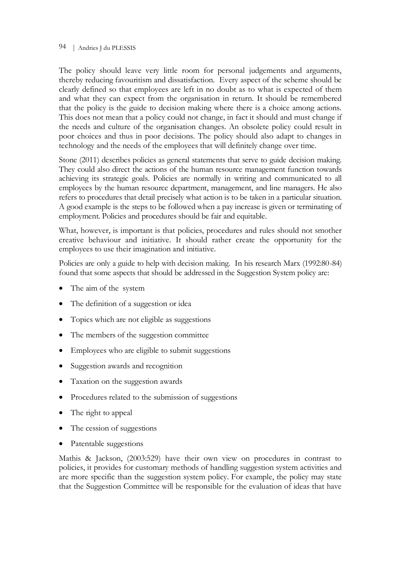#### 94 | Andries J du PLESSIS

The policy should leave very little room for personal judgements and arguments, thereby reducing favouritism and dissatisfaction. Every aspect of the scheme should be clearly defined so that employees are left in no doubt as to what is expected of them and what they can expect from the organisation in return. It should be remembered that the policy is the guide to decision making where there is a choice among actions. This does not mean that a policy could not change, in fact it should and must change if the needs and culture of the organisation changes. An obsolete policy could result in poor choices and thus in poor decisions. The policy should also adapt to changes in technology and the needs of the employees that will definitely change over time.

Stone (2011) describes policies as general statements that serve to guide decision making. They could also direct the actions of the human resource management function towards achieving its strategic goals. Policies are normally in writing and communicated to all employees by the human resource department, management, and line managers. He also refers to procedures that detail precisely what action is to be taken in a particular situation. A good example is the steps to be followed when a pay increase is given or terminating of employment. Policies and procedures should be fair and equitable.

What, however, is important is that policies, procedures and rules should not smother creative behaviour and initiative. It should rather create the opportunity for the employees to use their imagination and initiative.

Policies are only a guide to help with decision making. In his research Marx (1992:80-84) found that some aspects that should be addressed in the Suggestion System policy are:

- The aim of the system
- The definition of a suggestion or idea
- Topics which are not eligible as suggestions
- The members of the suggestion committee
- Employees who are eligible to submit suggestions
- Suggestion awards and recognition
- Taxation on the suggestion awards
- Procedures related to the submission of suggestions
- The right to appeal
- The cession of suggestions
- Patentable suggestions

Mathis & Jackson, (2003:529) have their own view on procedures in contrast to policies, it provides for customary methods of handling suggestion system activities and are more specific than the suggestion system policy. For example, the policy may state that the Suggestion Committee will be responsible for the evaluation of ideas that have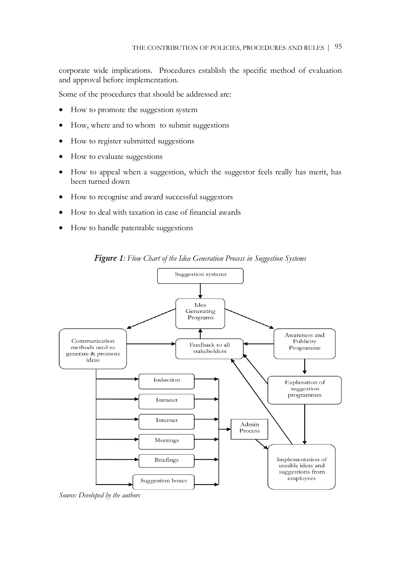corporate wide implications. Procedures establish the specific method of evaluation and approval before implementation.

Some of the procedures that should be addressed are:

- How to promote the suggestion system
- How, where and to whom to submit suggestions
- How to register submitted suggestions
- How to evaluate suggestions
- How to appeal when a suggestion, which the suggestor feels really has merit, has been turned down
- How to recognise and award successful suggestors
- How to deal with taxation in case of financial awards
- How to handle patentable suggestions



*Figure 1: Flow Chart of the Idea Generation Process in Suggestion Systems*

*Source: Developed by the authors*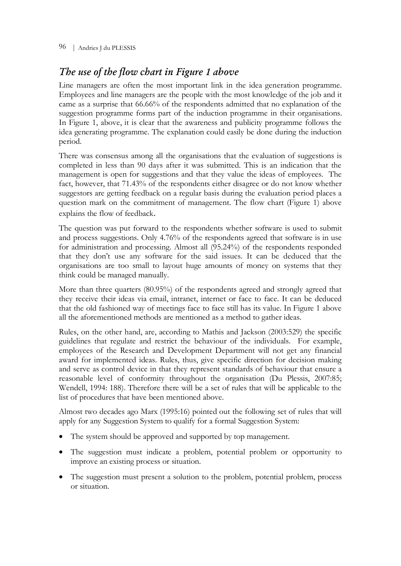96 | Andries J du PLESSIS

## *The use of the flow chart in Figure 1 above*

Line managers are often the most important link in the idea generation programme. Employees and line managers are the people with the most knowledge of the job and it came as a surprise that 66.66% of the respondents admitted that no explanation of the suggestion programme forms part of the induction programme in their organisations. In Figure 1, above, it is clear that the awareness and publicity programme follows the idea generating programme. The explanation could easily be done during the induction period.

There was consensus among all the organisations that the evaluation of suggestions is completed in less than 90 days after it was submitted. This is an indication that the management is open for suggestions and that they value the ideas of employees. The fact, however, that 71.43% of the respondents either disagree or do not know whether suggestors are getting feedback on a regular basis during the evaluation period places a question mark on the commitment of management. The flow chart (Figure 1) above explains the flow of feedback.

The question was put forward to the respondents whether software is used to submit and process suggestions. Only 4.76% of the respondents agreed that software is in use for administration and processing. Almost all (95.24%) of the respondents responded that they don"t use any software for the said issues. It can be deduced that the organisations are too small to layout huge amounts of money on systems that they think could be managed manually.

More than three quarters (80.95%) of the respondents agreed and strongly agreed that they receive their ideas via email, intranet, internet or face to face. It can be deduced that the old fashioned way of meetings face to face still has its value. In Figure 1 above all the aforementioned methods are mentioned as a method to gather ideas.

Rules, on the other hand, are, according to Mathis and Jackson (2003:529) the specific guidelines that regulate and restrict the behaviour of the individuals. For example, employees of the Research and Development Department will not get any financial award for implemented ideas. Rules, thus, give specific direction for decision making and serve as control device in that they represent standards of behaviour that ensure a reasonable level of conformity throughout the organisation (Du Plessis, 2007:85; Wendell, 1994: 188). Therefore there will be a set of rules that will be applicable to the list of procedures that have been mentioned above.

Almost two decades ago Marx (1995:16) pointed out the following set of rules that will apply for any Suggestion System to qualify for a formal Suggestion System:

- The system should be approved and supported by top management.
- The suggestion must indicate a problem, potential problem or opportunity to improve an existing process or situation.
- The suggestion must present a solution to the problem, potential problem, process or situation.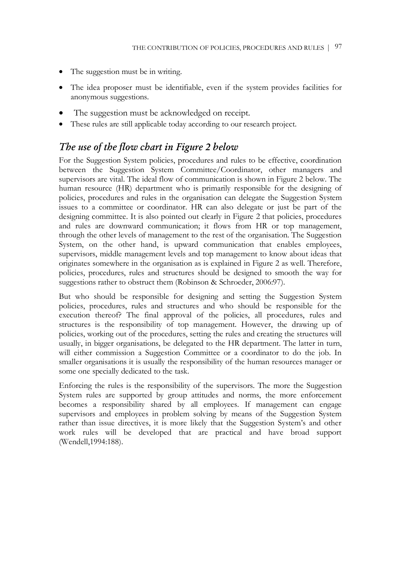- The suggestion must be in writing.
- The idea proposer must be identifiable, even if the system provides facilities for anonymous suggestions.
- The suggestion must be acknowledged on receipt.
- These rules are still applicable today according to our research project.

### *The use of the flow chart in Figure 2 below*

For the Suggestion System policies, procedures and rules to be effective, coordination between the Suggestion System Committee/Coordinator, other managers and supervisors are vital. The ideal flow of communication is shown in Figure 2 below. The human resource (HR) department who is primarily responsible for the designing of policies, procedures and rules in the organisation can delegate the Suggestion System issues to a committee or coordinator. HR can also delegate or just be part of the designing committee. It is also pointed out clearly in Figure 2 that policies, procedures and rules are downward communication; it flows from HR or top management, through the other levels of management to the rest of the organisation. The Suggestion System, on the other hand, is upward communication that enables employees, supervisors, middle management levels and top management to know about ideas that originates somewhere in the organisation as is explained in Figure 2 as well. Therefore, policies, procedures, rules and structures should be designed to smooth the way for suggestions rather to obstruct them (Robinson & Schroeder, 2006:97).

But who should be responsible for designing and setting the Suggestion System policies, procedures, rules and structures and who should be responsible for the execution thereof? The final approval of the policies, all procedures, rules and structures is the responsibility of top management. However, the drawing up of policies, working out of the procedures, setting the rules and creating the structures will usually, in bigger organisations, be delegated to the HR department. The latter in turn, will either commission a Suggestion Committee or a coordinator to do the job. In smaller organisations it is usually the responsibility of the human resources manager or some one specially dedicated to the task.

Enforcing the rules is the responsibility of the supervisors. The more the Suggestion System rules are supported by group attitudes and norms, the more enforcement becomes a responsibility shared by all employees. If management can engage supervisors and employees in problem solving by means of the Suggestion System rather than issue directives, it is more likely that the Suggestion System"s and other work rules will be developed that are practical and have broad support (Wendell,1994:188).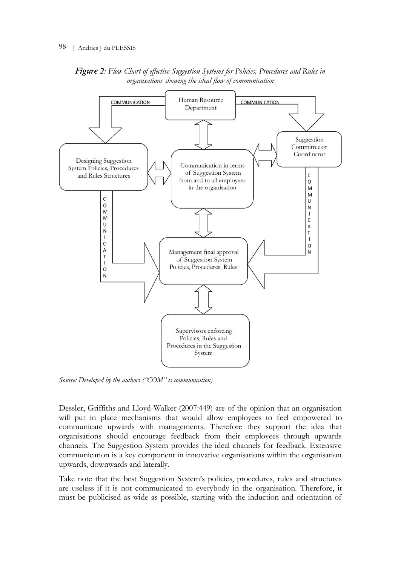

*Figure 2: Flow Chart of effective Suggestion Systems for Policies, Procedures and Rules in organisations showing the ideal flow of communication*

*Source: Developed by the authors ("COM" is communication)*

Dessler, Griffiths and Lloyd-Walker (2007:449) are of the opinion that an organisation will put in place mechanisms that would allow employees to feel empowered to communicate upwards with managements. Therefore they support the idea that organisations should encourage feedback from their employees through upwards channels. The Suggestion System provides the ideal channels for feedback. Extensive communication is a key component in innovative organisations within the organisation upwards, downwards and laterally.

Take note that the best Suggestion System"s policies, procedures, rules and structures are useless if it is not communicated to everybody in the organisation. Therefore, it must be publicised as wide as possible, starting with the induction and orientation of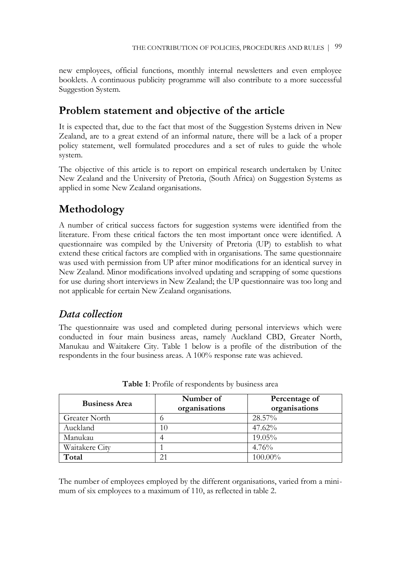new employees, official functions, monthly internal newsletters and even employee booklets. A continuous publicity programme will also contribute to a more successful Suggestion System.

# **Problem statement and objective of the article**

It is expected that, due to the fact that most of the Suggestion Systems driven in New Zealand, are to a great extend of an informal nature, there will be a lack of a proper policy statement, well formulated procedures and a set of rules to guide the whole system.

The objective of this article is to report on empirical research undertaken by Unitec New Zealand and the University of Pretoria, (South Africa) on Suggestion Systems as applied in some New Zealand organisations.

# **Methodology**

A number of critical success factors for suggestion systems were identified from the literature. From these critical factors the ten most important once were identified. A questionnaire was compiled by the University of Pretoria (UP) to establish to what extend these critical factors are complied with in organisations. The same questionnaire was used with permission from UP after minor modifications for an identical survey in New Zealand. Minor modifications involved updating and scrapping of some questions for use during short interviews in New Zealand; the UP questionnaire was too long and not applicable for certain New Zealand organisations.

### *Data collection*

The questionnaire was used and completed during personal interviews which were conducted in four main business areas, namely Auckland CBD, Greater North, Manukau and Waitakere City. Table 1 below is a profile of the distribution of the respondents in the four business areas. A 100% response rate was achieved.

| <b>Business Area</b> | Number of<br>organisations | Percentage of<br>organisations |
|----------------------|----------------------------|--------------------------------|
| <b>Greater North</b> |                            | 28.57%                         |
| Auckland             | 10                         | 47.62%                         |
| Manukau              |                            | $19.05\%$                      |
| Waitakere City       |                            | 4.76%                          |
| Total                | 21                         | 100.00%                        |

**Table 1**: Profile of respondents by business area

The number of employees employed by the different organisations, varied from a minimum of six employees to a maximum of 110, as reflected in table 2.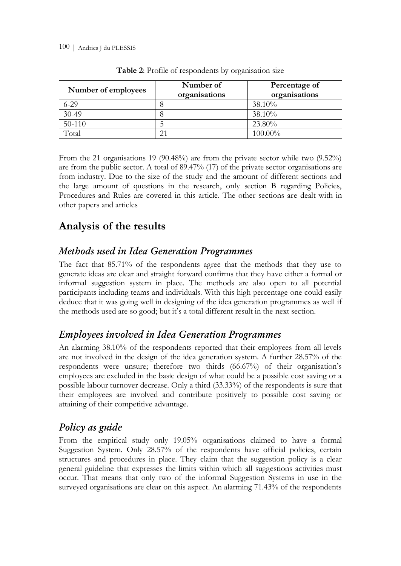| Number of employees | Number of<br>organisations | Percentage of<br>organisations |
|---------------------|----------------------------|--------------------------------|
| $6 - 29$            |                            | 38.10%                         |
| $30-49$             |                            | 38.10%                         |
| 50-110              |                            | 23.80%                         |
| Total               |                            | 100.00%                        |

**Table 2**: Profile of respondents by organisation size

From the 21 organisations 19 (90.48%) are from the private sector while two (9.52%) are from the public sector. A total of 89.47% (17) of the private sector organisations are from industry. Due to the size of the study and the amount of different sections and the large amount of questions in the research, only section B regarding Policies, Procedures and Rules are covered in this article. The other sections are dealt with in other papers and articles

# **Analysis of the results**

### *Methods used in Idea Generation Programmes*

The fact that 85.71% of the respondents agree that the methods that they use to generate ideas are clear and straight forward confirms that they have either a formal or informal suggestion system in place. The methods are also open to all potential participants including teams and individuals. With this high percentage one could easily deduce that it was going well in designing of the idea generation programmes as well if the methods used are so good; but it's a total different result in the next section.

### *Employees involved in Idea Generation Programmes*

An alarming 38.10% of the respondents reported that their employees from all levels are not involved in the design of the idea generation system. A further 28.57% of the respondents were unsure; therefore two thirds (66.67%) of their organisation"s employees are excluded in the basic design of what could be a possible cost saving or a possible labour turnover decrease. Only a third (33.33%) of the respondents is sure that their employees are involved and contribute positively to possible cost saving or attaining of their competitive advantage.

### *Policy as guide*

From the empirical study only 19.05% organisations claimed to have a formal Suggestion System. Only 28.57% of the respondents have official policies, certain structures and procedures in place. They claim that the suggestion policy is a clear general guideline that expresses the limits within which all suggestions activities must occur. That means that only two of the informal Suggestion Systems in use in the surveyed organisations are clear on this aspect. An alarming 71.43% of the respondents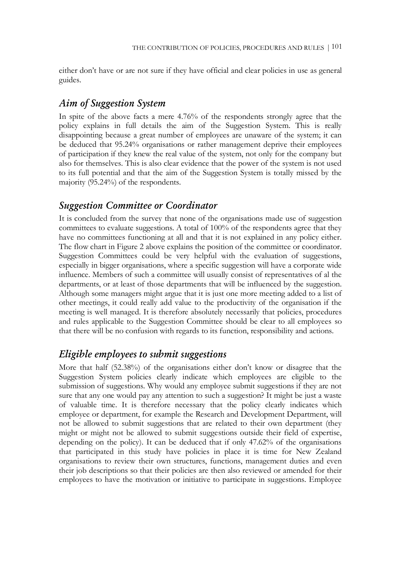either don"t have or are not sure if they have official and clear policies in use as general guides.

### *Aim of Suggestion System*

In spite of the above facts a mere 4.76% of the respondents strongly agree that the policy explains in full details the aim of the Suggestion System. This is really disappointing because a great number of employees are unaware of the system; it can be deduced that 95.24% organisations or rather management deprive their employees of participation if they knew the real value of the system, not only for the company but also for themselves. This is also clear evidence that the power of the system is not used to its full potential and that the aim of the Suggestion System is totally missed by the majority (95.24%) of the respondents.

#### *Suggestion Committee or Coordinator*

It is concluded from the survey that none of the organisations made use of suggestion committees to evaluate suggestions. A total of 100% of the respondents agree that they have no committees functioning at all and that it is not explained in any policy either. The flow chart in Figure 2 above explains the position of the committee or coordinator. Suggestion Committees could be very helpful with the evaluation of suggestions, especially in bigger organisations, where a specific suggestion will have a corporate wide influence. Members of such a committee will usually consist of representatives of al the departments, or at least of those departments that will be influenced by the suggestion. Although some managers might argue that it is just one more meeting added to a list of other meetings, it could really add value to the productivity of the organisation if the meeting is well managed. It is therefore absolutely necessarily that policies, procedures and rules applicable to the Suggestion Committee should be clear to all employees so that there will be no confusion with regards to its function, responsibility and actions.

### *Eligible employees to submit suggestions*

More that half (52.38%) of the organisations either don"t know or disagree that the Suggestion System policies clearly indicate which employees are eligible to the submission of suggestions. Why would any employee submit suggestions if they are not sure that any one would pay any attention to such a suggestion? It might be just a waste of valuable time. It is therefore necessary that the policy clearly indicates which employee or department, for example the Research and Development Department, will not be allowed to submit suggestions that are related to their own department (they might or might not be allowed to submit suggestions outside their field of expertise, depending on the policy). It can be deduced that if only 47.62% of the organisations that participated in this study have policies in place it is time for New Zealand organisations to review their own structures, functions, management duties and even their job descriptions so that their policies are then also reviewed or amended for their employees to have the motivation or initiative to participate in suggestions. Employee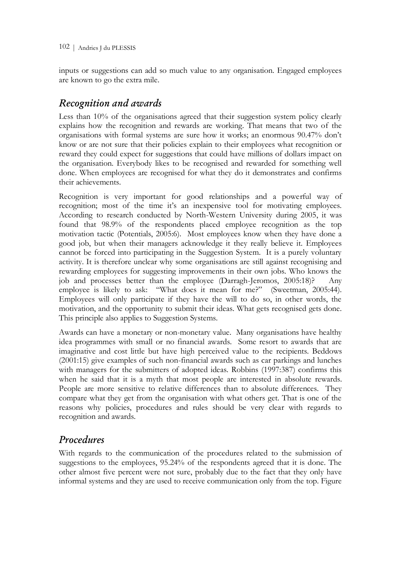inputs or suggestions can add so much value to any organisation. Engaged employees are known to go the extra mile.

# *Recognition and awards*

Less than 10% of the organisations agreed that their suggestion system policy clearly explains how the recognition and rewards are working. That means that two of the organisations with formal systems are sure how it works; an enormous 90.47% don"t know or are not sure that their policies explain to their employees what recognition or reward they could expect for suggestions that could have millions of dollars impact on the organisation. Everybody likes to be recognised and rewarded for something well done. When employees are recognised for what they do it demonstrates and confirms their achievements.

Recognition is very important for good relationships and a powerful way of recognition; most of the time it's an inexpensive tool for motivating employees. According to research conducted by North-Western University during 2005, it was found that 98.9% of the respondents placed employee recognition as the top motivation tactic (Potentials, 2005:6). Most employees know when they have done a good job, but when their managers acknowledge it they really believe it. Employees cannot be forced into participating in the Suggestion System. It is a purely voluntary activity. It is therefore unclear why some organisations are still against recognising and rewarding employees for suggesting improvements in their own jobs. Who knows the job and processes better than the employee (Darragh-Jeromos, 2005:18)? Any employee is likely to ask: "What does it mean for me?" (Sweetman, 2005:44). Employees will only participate if they have the will to do so, in other words, the motivation, and the opportunity to submit their ideas. What gets recognised gets done. This principle also applies to Suggestion Systems.

Awards can have a monetary or non-monetary value. Many organisations have healthy idea programmes with small or no financial awards. Some resort to awards that are imaginative and cost little but have high perceived value to the recipients. Beddows (2001:15) give examples of such non-financial awards such as car parkings and lunches with managers for the submitters of adopted ideas. Robbins (1997:387) confirms this when he said that it is a myth that most people are interested in absolute rewards. People are more sensitive to relative differences than to absolute differences. They compare what they get from the organisation with what others get. That is one of the reasons why policies, procedures and rules should be very clear with regards to recognition and awards.

# *Procedures*

With regards to the communication of the procedures related to the submission of suggestions to the employees, 95.24% of the respondents agreed that it is done. The other almost five percent were not sure, probably due to the fact that they only have informal systems and they are used to receive communication only from the top. Figure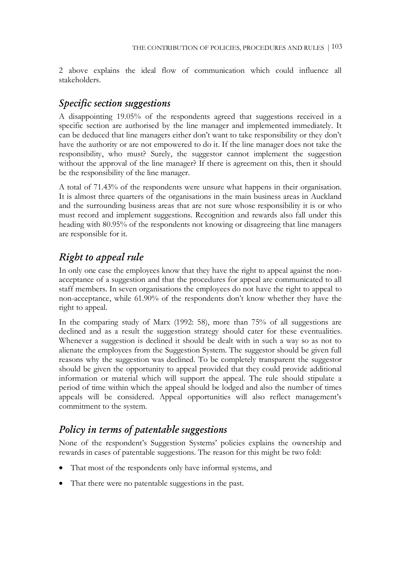2 above explains the ideal flow of communication which could influence all stakeholders.

### *Specific section suggestions*

A disappointing 19.05% of the respondents agreed that suggestions received in a specific section are authorised by the line manager and implemented immediately. It can be deduced that line managers either don"t want to take responsibility or they don"t have the authority or are not empowered to do it. If the line manager does not take the responsibility, who must? Surely, the suggestor cannot implement the suggestion without the approval of the line manager? If there is agreement on this, then it should be the responsibility of the line manager.

A total of 71.43% of the respondents were unsure what happens in their organisation. It is almost three quarters of the organisations in the main business areas in Auckland and the surrounding business areas that are not sure whose responsibility it is or who must record and implement suggestions. Recognition and rewards also fall under this heading with 80.95% of the respondents not knowing or disagreeing that line managers are responsible for it.

# *Right to appeal rule*

In only one case the employees know that they have the right to appeal against the nonacceptance of a suggestion and that the procedures for appeal are communicated to all staff members. In seven organisations the employees do not have the right to appeal to non-acceptance, while 61.90% of the respondents don"t know whether they have the right to appeal.

In the comparing study of Marx (1992: 58), more than 75% of all suggestions are declined and as a result the suggestion strategy should cater for these eventualities. Whenever a suggestion is declined it should be dealt with in such a way so as not to alienate the employees from the Suggestion System. The suggestor should be given full reasons why the suggestion was declined. To be completely transparent the suggestor should be given the opportunity to appeal provided that they could provide additional information or material which will support the appeal. The rule should stipulate a period of time within which the appeal should be lodged and also the number of times appeals will be considered. Appeal opportunities will also reflect management's commitment to the system.

### *Policy in terms of patentable suggestions*

None of the respondent"s Suggestion Systems" policies explains the ownership and rewards in cases of patentable suggestions. The reason for this might be two fold:

- That most of the respondents only have informal systems, and
- That there were no patentable suggestions in the past.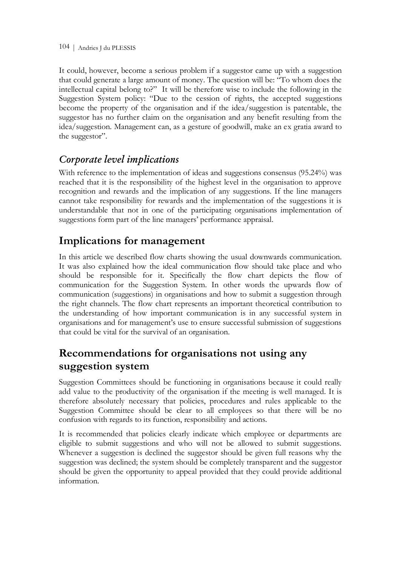It could, however, become a serious problem if a suggestor came up with a suggestion that could generate a large amount of money. The question will be: "To whom does the intellectual capital belong to?" It will be therefore wise to include the following in the Suggestion System policy: "Due to the cession of rights, the accepted suggestions become the property of the organisation and if the idea/suggestion is patentable, the suggestor has no further claim on the organisation and any benefit resulting from the idea/suggestion. Management can, as a gesture of goodwill, make an ex gratia award to the suggestor".

# *Corporate level implications*

With reference to the implementation of ideas and suggestions consensus (95.24%) was reached that it is the responsibility of the highest level in the organisation to approve recognition and rewards and the implication of any suggestions. If the line managers cannot take responsibility for rewards and the implementation of the suggestions it is understandable that not in one of the participating organisations implementation of suggestions form part of the line managers' performance appraisal.

# **Implications for management**

In this article we described flow charts showing the usual downwards communication. It was also explained how the ideal communication flow should take place and who should be responsible for it. Specifically the flow chart depicts the flow of communication for the Suggestion System. In other words the upwards flow of communication (suggestions) in organisations and how to submit a suggestion through the right channels. The flow chart represents an important theoretical contribution to the understanding of how important communication is in any successful system in organisations and for management"s use to ensure successful submission of suggestions that could be vital for the survival of an organisation.

# **Recommendations for organisations not using any suggestion system**

Suggestion Committees should be functioning in organisations because it could really add value to the productivity of the organisation if the meeting is well managed. It is therefore absolutely necessary that policies, procedures and rules applicable to the Suggestion Committee should be clear to all employees so that there will be no confusion with regards to its function, responsibility and actions.

It is recommended that policies clearly indicate which employee or departments are eligible to submit suggestions and who will not be allowed to submit suggestions. Whenever a suggestion is declined the suggestor should be given full reasons why the suggestion was declined; the system should be completely transparent and the suggestor should be given the opportunity to appeal provided that they could provide additional information.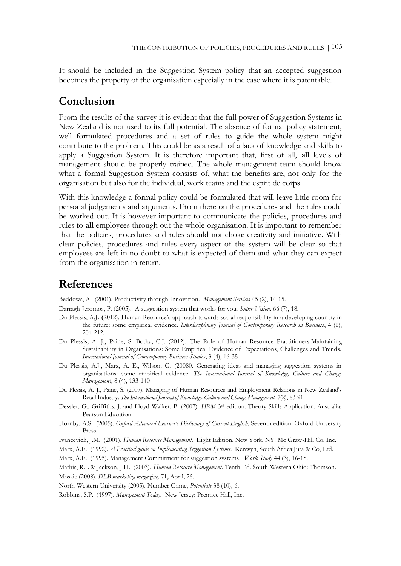It should be included in the Suggestion System policy that an accepted suggestion becomes the property of the organisation especially in the case where it is patentable.

### **Conclusion**

From the results of the survey it is evident that the full power of Suggestion Systems in New Zealand is not used to its full potential. The absence of formal policy statement, well formulated procedures and a set of rules to guide the whole system might contribute to the problem. This could be as a result of a lack of knowledge and skills to apply a Suggestion System. It is therefore important that, first of all, **all** levels of management should be properly trained. The whole management team should know what a formal Suggestion System consists of, what the benefits are, not only for the organisation but also for the individual, work teams and the esprit de corps.

With this knowledge a formal policy could be formulated that will leave little room for personal judgements and arguments. From there on the procedures and the rules could be worked out. It is however important to communicate the policies, procedures and rules to **all** employees through out the whole organisation. It is important to remember that the policies, procedures and rules should not choke creativity and initiative. With clear policies, procedures and rules every aspect of the system will be clear so that employees are left in no doubt to what is expected of them and what they can expect from the organisation in return.

### **References**

Beddows, A. (2001). Productivity through Innovation. *Management Services* 45 (2), 14-15.

Darragh-Jeromos, P. (2005). A suggestion system that works for you. *Super Vision,* 66 (7), 18.

- Du Plessis, A.J. (2012). Human Resource's approach towards social responsibility in a developing country in the future: some empirical evidence. *Interdisciplinary Journal of Contemporary Research in Business*, 4 (1), 204-212.
- Du Plessis, A. J., Paine, S. Botha, C.J. (2012). The Role of Human Resource Practitioners Maintaining Sustainability in Organisations: Some Empirical Evidence of Expectations, Challenges and Trends. *International Journal of Contemporary Business Studies*, 3 (4), 16-35
- Du Plessis, A.J., Marx, A. E., Wilson, G. (20080. Generating ideas and managing suggestion systems in organisations: some empirical evidence. *The International Journal of Knowledge, Culture and Change Managemen*t, 8 (4), 133-140
- Du Plessis, A. J., Paine, S. (2007). Managing of Human Resources and Employment Relations in New Zealand's Retail Industry. *The International Journal of Knowledge, Culture and Change Management.* 7(2), 83-91
- Dessler, G., Griffiths, J. and Lloyd-Walker, B. (2007). *HRM* 3<sup>rd</sup> edition. Theory Skills Application. Australia: Pearson Education.
- Hornby, A.S. (2005). *Oxford Advanced Learner"s Dictionary of Current English*, Seventh edition. Oxford University Press.
- Ivancevich, J.M. (2001). *Human Resource Management*. Eight Edition. New York, NY: Mc Graw-Hill Co, Inc.

Marx, A.E. (1992). *A Practical guide on Implementing Suggestion Systems*. Kenwyn, South Africa:Juta & Co, Ltd.

- Marx, A.E. (1995). Management Commitment for suggestion systems. *Work Study* 44 (3), 16-18.
- Mathis, R.L & Jackson, J.H. (2003). *Human Resource Management*. Tenth Ed. South-Western Ohio: Thomson.

Mosaic (2008). *DLB marketing magazine,* 71, April, 25.

North-Western University (2005). Number Game, *Potentials* 38 (10), 6.

Robbins, S.P. (1997). *Management Today*. New Jersey: Prentice Hall, Inc.